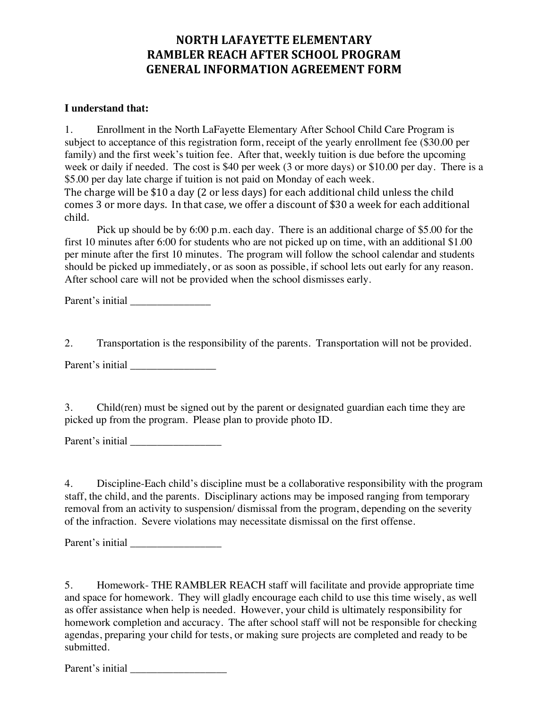## **NORTH LAFAYETTE ELEMENTARY RAMBLER REACH AFTER SCHOOL PROGRAM GENERAL INFORMATION AGREEMENT FORM**

## **I understand that:**

1. Enrollment in the North LaFayette Elementary After School Child Care Program is subject to acceptance of this registration form, receipt of the yearly enrollment fee (\$30.00 per family) and the first week's tuition fee. After that, weekly tuition is due before the upcoming week or daily if needed. The cost is \$40 per week (3 or more days) or \$10.00 per day. There is a \$5.00 per day late charge if tuition is not paid on Monday of each week. The charge will be  $$10$  a day (2 or less days) for each additional child unless the child comes 3 or more days. In that case, we offer a discount of \$30 a week for each additional child.

Pick up should be by 6:00 p.m. each day. There is an additional charge of \$5.00 for the first 10 minutes after 6:00 for students who are not picked up on time, with an additional \$1.00 per minute after the first 10 minutes. The program will follow the school calendar and students should be picked up immediately, or as soon as possible, if school lets out early for any reason. After school care will not be provided when the school dismisses early.

Parent's initial

2. Transportation is the responsibility of the parents. Transportation will not be provided.

Parent's initial

3. Child(ren) must be signed out by the parent or designated guardian each time they are picked up from the program. Please plan to provide photo ID.

Parent's initial

4. Discipline-Each child's discipline must be a collaborative responsibility with the program staff, the child, and the parents. Disciplinary actions may be imposed ranging from temporary removal from an activity to suspension/ dismissal from the program, depending on the severity of the infraction. Severe violations may necessitate dismissal on the first offense.

Parent's initial

5. Homework- THE RAMBLER REACH staff will facilitate and provide appropriate time and space for homework. They will gladly encourage each child to use this time wisely, as well as offer assistance when help is needed. However, your child is ultimately responsibility for homework completion and accuracy. The after school staff will not be responsible for checking agendas, preparing your child for tests, or making sure projects are completed and ready to be submitted.

Parent's initial \_\_\_\_\_\_\_\_\_\_\_\_\_\_\_\_\_\_